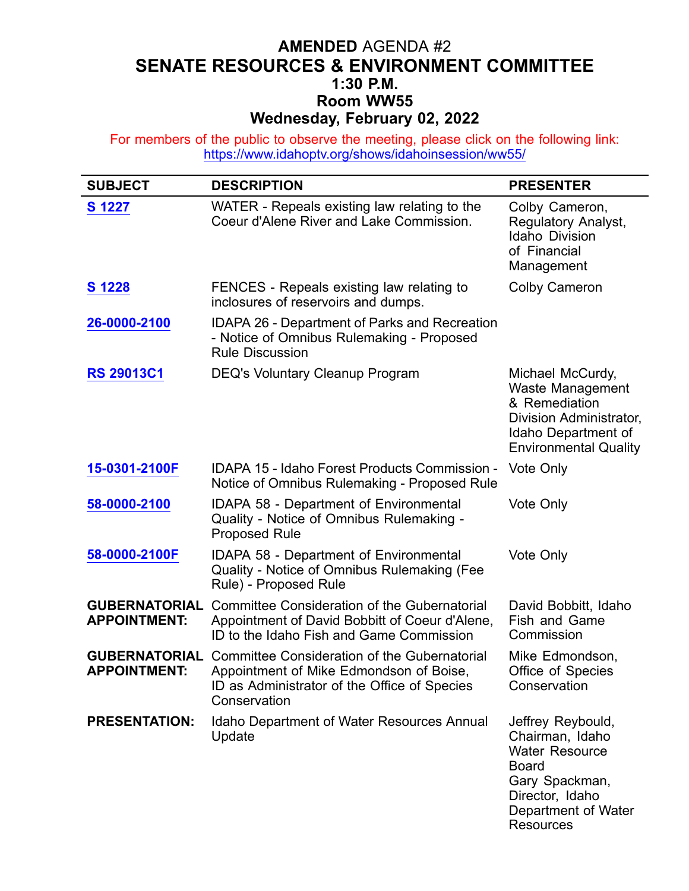# **AMENDED** AGENDA #2 **SENATE RESOURCES & ENVIRONMENT COMMITTEE 1:30 P.M. Room WW55 Wednesday, February 02, 2022**

For members of the public to observe the meeting, please click on the following link: <https://www.idahoptv.org/shows/idahoinsession/ww55/>

| <b>SUBJECT</b>                              | <b>DESCRIPTION</b>                                                                                                                                            | <b>PRESENTER</b>                                                                                                                                              |
|---------------------------------------------|---------------------------------------------------------------------------------------------------------------------------------------------------------------|---------------------------------------------------------------------------------------------------------------------------------------------------------------|
| S 1227                                      | WATER - Repeals existing law relating to the<br>Coeur d'Alene River and Lake Commission.                                                                      | Colby Cameron,<br>Regulatory Analyst,<br><b>Idaho Division</b><br>of Financial<br>Management                                                                  |
| S 1228                                      | FENCES - Repeals existing law relating to<br>inclosures of reservoirs and dumps.                                                                              | <b>Colby Cameron</b>                                                                                                                                          |
| 26-0000-2100                                | <b>IDAPA 26 - Department of Parks and Recreation</b><br>- Notice of Omnibus Rulemaking - Proposed<br><b>Rule Discussion</b>                                   |                                                                                                                                                               |
| <b>RS 29013C1</b>                           | <b>DEQ's Voluntary Cleanup Program</b>                                                                                                                        | Michael McCurdy,<br>Waste Management<br>& Remediation<br>Division Administrator,<br>Idaho Department of<br><b>Environmental Quality</b>                       |
| 15-0301-2100F                               | <b>IDAPA 15 - Idaho Forest Products Commission -</b><br>Notice of Omnibus Rulemaking - Proposed Rule                                                          | Vote Only                                                                                                                                                     |
| 58-0000-2100                                | <b>IDAPA 58 - Department of Environmental</b><br>Quality - Notice of Omnibus Rulemaking -<br><b>Proposed Rule</b>                                             | Vote Only                                                                                                                                                     |
| 58-0000-2100F                               | <b>IDAPA 58 - Department of Environmental</b><br>Quality - Notice of Omnibus Rulemaking (Fee<br>Rule) - Proposed Rule                                         | Vote Only                                                                                                                                                     |
| <b>GUBERNATORIAL</b><br><b>APPOINTMENT:</b> | Committee Consideration of the Gubernatorial<br>Appointment of David Bobbitt of Coeur d'Alene,<br>ID to the Idaho Fish and Game Commission                    | David Bobbitt, Idaho<br>Fish and Game<br>Commission                                                                                                           |
| <b>GUBERNATORIAL</b><br><b>APPOINTMENT:</b> | <b>Committee Consideration of the Gubernatorial</b><br>Appointment of Mike Edmondson of Boise<br>ID as Administrator of the Office of Species<br>Conservation | Mike Edmondson,<br>Office of Species<br>Conservation                                                                                                          |
| <b>PRESENTATION:</b>                        | Idaho Department of Water Resources Annual<br>Update                                                                                                          | Jeffrey Reybould,<br>Chairman, Idaho<br><b>Water Resource</b><br><b>Board</b><br>Gary Spackman,<br>Director, Idaho<br>Department of Water<br><b>Resources</b> |